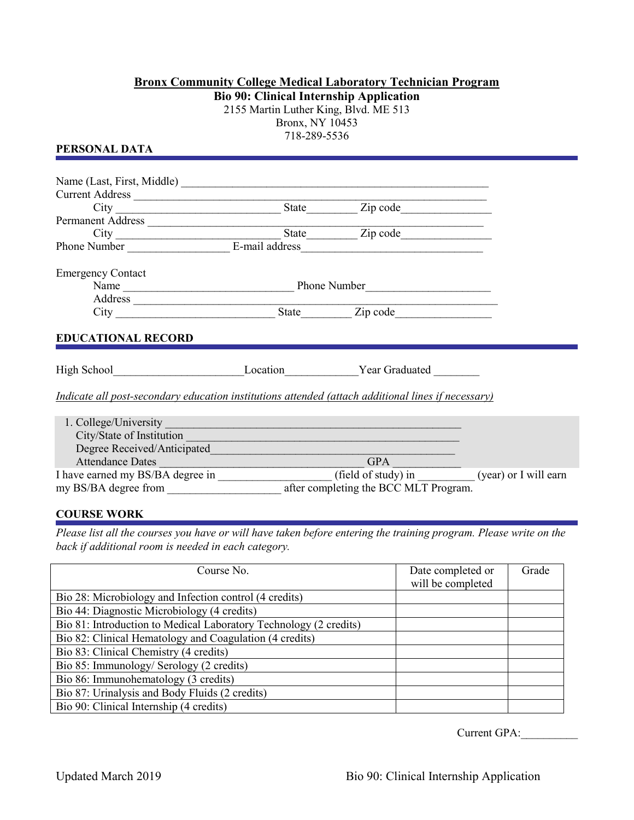## **Bronx Community College Medical Laboratory Technician Program Bio 90: Clinical Internship Application**

2155 Martin Luther King, Blvd. ME 513 Bronx, NY 10453 718-289-5536

**PERSONAL DATA**

| Current Address                                                                                           |  |                                                                                                                                                                                                                                |                       |
|-----------------------------------------------------------------------------------------------------------|--|--------------------------------------------------------------------------------------------------------------------------------------------------------------------------------------------------------------------------------|-----------------------|
|                                                                                                           |  | State Zip code                                                                                                                                                                                                                 |                       |
| Permanent Address                                                                                         |  |                                                                                                                                                                                                                                |                       |
|                                                                                                           |  | State Zip code                                                                                                                                                                                                                 |                       |
| Phone Number E-mail address                                                                               |  |                                                                                                                                                                                                                                |                       |
| <b>Emergency Contact</b>                                                                                  |  |                                                                                                                                                                                                                                |                       |
|                                                                                                           |  |                                                                                                                                                                                                                                |                       |
|                                                                                                           |  | Address and the contract of the contract of the contract of the contract of the contract of the contract of the contract of the contract of the contract of the contract of the contract of the contract of the contract of th |                       |
|                                                                                                           |  | City State Zip code                                                                                                                                                                                                            |                       |
| <b>EDUCATIONAL RECORD</b>                                                                                 |  |                                                                                                                                                                                                                                |                       |
| High School <b>Example 2</b> Location <b>1986</b> Year Graduated                                          |  |                                                                                                                                                                                                                                |                       |
| <i>Indicate all post-secondary education institutions attended (attach additional lines if necessary)</i> |  |                                                                                                                                                                                                                                |                       |
| 1. College/University                                                                                     |  | <u> 1989 - Johann Stein, marwolaethau a bhann an t-Amhair Aonaichte an t-Amhair Aonaichte an t-Amhair Aonaichte a</u>                                                                                                          |                       |
| City/State of Institution                                                                                 |  |                                                                                                                                                                                                                                |                       |
| Degree Received/Anticipated                                                                               |  |                                                                                                                                                                                                                                |                       |
| <b>Attendance Dates</b>                                                                                   |  | <b>GPA</b>                                                                                                                                                                                                                     |                       |
| I have earned my BS/BA degree in                                                                          |  | (field of study) in                                                                                                                                                                                                            | (year) or I will earn |

**COURSE WORK**

*Please list all the courses you have or will have taken before entering the training program. Please write on the back if additional room is needed in each category.*

my BS/BA degree from \_\_\_\_\_\_\_\_\_\_\_\_\_\_\_\_\_\_\_\_\_\_\_\_ after completing the BCC MLT Program.

| Course No.                                                        | Date completed or<br>will be completed | Grade |
|-------------------------------------------------------------------|----------------------------------------|-------|
| Bio 28: Microbiology and Infection control (4 credits)            |                                        |       |
| Bio 44: Diagnostic Microbiology (4 credits)                       |                                        |       |
| Bio 81: Introduction to Medical Laboratory Technology (2 credits) |                                        |       |
| Bio 82: Clinical Hematology and Coagulation (4 credits)           |                                        |       |
| Bio 83: Clinical Chemistry (4 credits)                            |                                        |       |
| Bio 85: Immunology/ Serology (2 credits)                          |                                        |       |
| Bio 86: Immunohematology (3 credits)                              |                                        |       |
| Bio 87: Urinalysis and Body Fluids (2 credits)                    |                                        |       |
| Bio 90: Clinical Internship (4 credits)                           |                                        |       |

Current GPA:\_\_\_\_\_\_\_\_\_\_